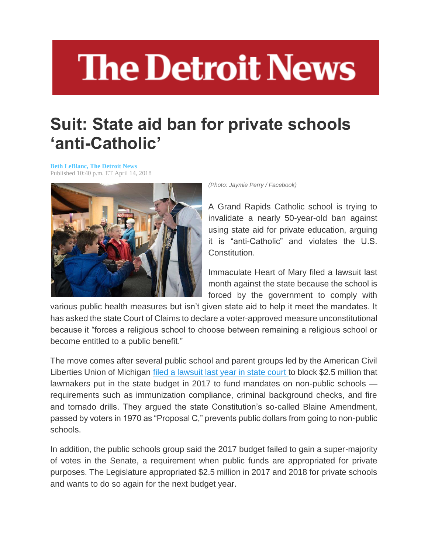## **The Detroit News**

## **Suit: State aid ban for private schools 'anti-Catholic'**

**[Beth LeBlanc, The Detroit News](http://www.detroitnews.com/staff/46443/beth-leblanc)** Published 10:40 p.m. ET April 14, 2018



*(Photo: Jaymie Perry / Facebook)*

A Grand Rapids Catholic school is trying to invalidate a nearly 50-year-old ban against using state aid for private education, arguing it is "anti-Catholic" and violates the U.S. Constitution.

Immaculate Heart of Mary filed a lawsuit last month against the state because the school is forced by the government to comply with

various public health measures but isn't given state aid to help it meet the mandates. It has asked the state Court of Claims to declare a voter-approved measure unconstitutional because it "forces a religious school to choose between remaining a religious school or become entitled to a public benefit."

The move comes after several public school and parent groups led by the American Civil Liberties Union of Michigan [filed a lawsuit last year in state court](https://www.detroitnews.com/story/news/local/michigan/2017/03/21/private-school-lawsuit/99444418/) to block \$2.5 million that lawmakers put in the state budget in 2017 to fund mandates on non-public schools requirements such as immunization compliance, criminal background checks, and fire and tornado drills. They argued the state Constitution's so-called Blaine Amendment, passed by voters in 1970 as "Proposal C," prevents public dollars from going to non-public schools.

In addition, the public schools group said the 2017 budget failed to gain a super-majority of votes in the Senate, a requirement when public funds are appropriated for private purposes. The Legislature appropriated \$2.5 million in 2017 and 2018 for private schools and wants to do so again for the next budget year.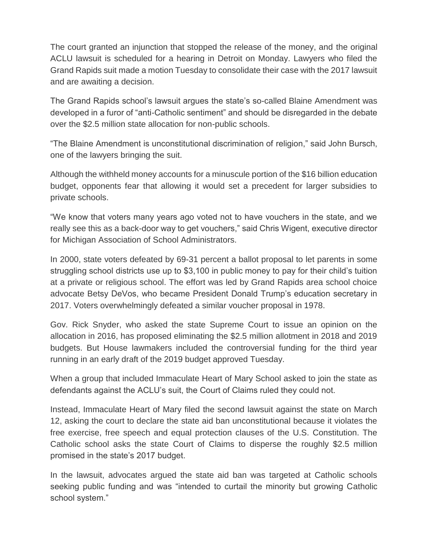The court granted an injunction that stopped the release of the money, and the original ACLU lawsuit is scheduled for a hearing in Detroit on Monday. Lawyers who filed the Grand Rapids suit made a motion Tuesday to consolidate their case with the 2017 lawsuit and are awaiting a decision.

The Grand Rapids school's lawsuit argues the state's so-called Blaine Amendment was developed in a furor of "anti-Catholic sentiment" and should be disregarded in the debate over the \$2.5 million state allocation for non-public schools.

"The Blaine Amendment is unconstitutional discrimination of religion," said John Bursch, one of the lawyers bringing the suit.

Although the withheld money accounts for a minuscule portion of the \$16 billion education budget, opponents fear that allowing it would set a precedent for larger subsidies to private schools.

"We know that voters many years ago voted not to have vouchers in the state, and we really see this as a back-door way to get vouchers," said Chris Wigent, executive director for Michigan Association of School Administrators.

In 2000, state voters defeated by 69-31 percent a ballot proposal to let parents in some struggling school districts use up to \$3,100 in public money to pay for their child's tuition at a private or religious school. The effort was led by Grand Rapids area school choice advocate Betsy DeVos, who became President Donald Trump's education secretary in 2017. Voters overwhelmingly defeated a similar voucher proposal in 1978.

Gov. Rick Snyder, who asked the state Supreme Court to issue an opinion on the allocation in 2016, has proposed eliminating the \$2.5 million allotment in 2018 and 2019 budgets. But House lawmakers included the controversial funding for the third year running in an early draft of the 2019 budget approved Tuesday.

When a group that included Immaculate Heart of Mary School asked to join the state as defendants against the ACLU's suit, the Court of Claims ruled they could not.

Instead, Immaculate Heart of Mary filed the second lawsuit against the state on March 12, asking the court to declare the state aid ban unconstitutional because it violates the free exercise, free speech and equal protection clauses of the U.S. Constitution. The Catholic school asks the state Court of Claims to disperse the roughly \$2.5 million promised in the state's 2017 budget.

In the lawsuit, advocates argued the state aid ban was targeted at Catholic schools seeking public funding and was "intended to curtail the minority but growing Catholic school system."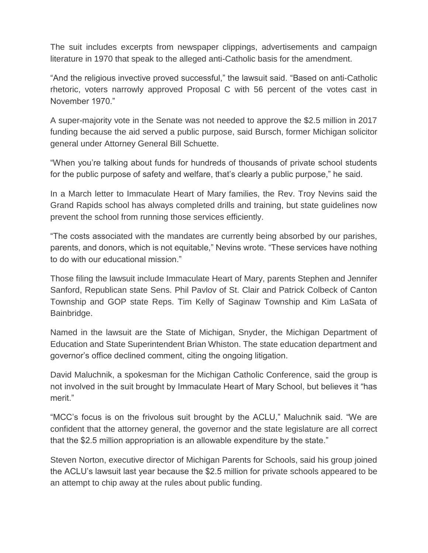The suit includes excerpts from newspaper clippings, advertisements and campaign literature in 1970 that speak to the alleged anti-Catholic basis for the amendment.

"And the religious invective proved successful," the lawsuit said. "Based on anti-Catholic rhetoric, voters narrowly approved Proposal C with 56 percent of the votes cast in November 1970."

A super-majority vote in the Senate was not needed to approve the \$2.5 million in 2017 funding because the aid served a public purpose, said Bursch, former Michigan solicitor general under Attorney General Bill Schuette.

"When you're talking about funds for hundreds of thousands of private school students for the public purpose of safety and welfare, that's clearly a public purpose," he said.

In a March letter to Immaculate Heart of Mary families, the Rev. Troy Nevins said the Grand Rapids school has always completed drills and training, but state guidelines now prevent the school from running those services efficiently.

"The costs associated with the mandates are currently being absorbed by our parishes, parents, and donors, which is not equitable," Nevins wrote. "These services have nothing to do with our educational mission."

Those filing the lawsuit include Immaculate Heart of Mary, parents Stephen and Jennifer Sanford, Republican state Sens. Phil Pavlov of St. Clair and Patrick Colbeck of Canton Township and GOP state Reps. Tim Kelly of Saginaw Township and Kim LaSata of Bainbridge.

Named in the lawsuit are the State of Michigan, Snyder, the Michigan Department of Education and State Superintendent Brian Whiston. The state education department and governor's office declined comment, citing the ongoing litigation.

David Maluchnik, a spokesman for the Michigan Catholic Conference, said the group is not involved in the suit brought by Immaculate Heart of Mary School, but believes it "has merit."

"MCC's focus is on the frivolous suit brought by the ACLU," Maluchnik said. "We are confident that the attorney general, the governor and the state legislature are all correct that the \$2.5 million appropriation is an allowable expenditure by the state."

Steven Norton, executive director of Michigan Parents for Schools, said his group joined the ACLU's lawsuit last year because the \$2.5 million for private schools appeared to be an attempt to chip away at the rules about public funding.